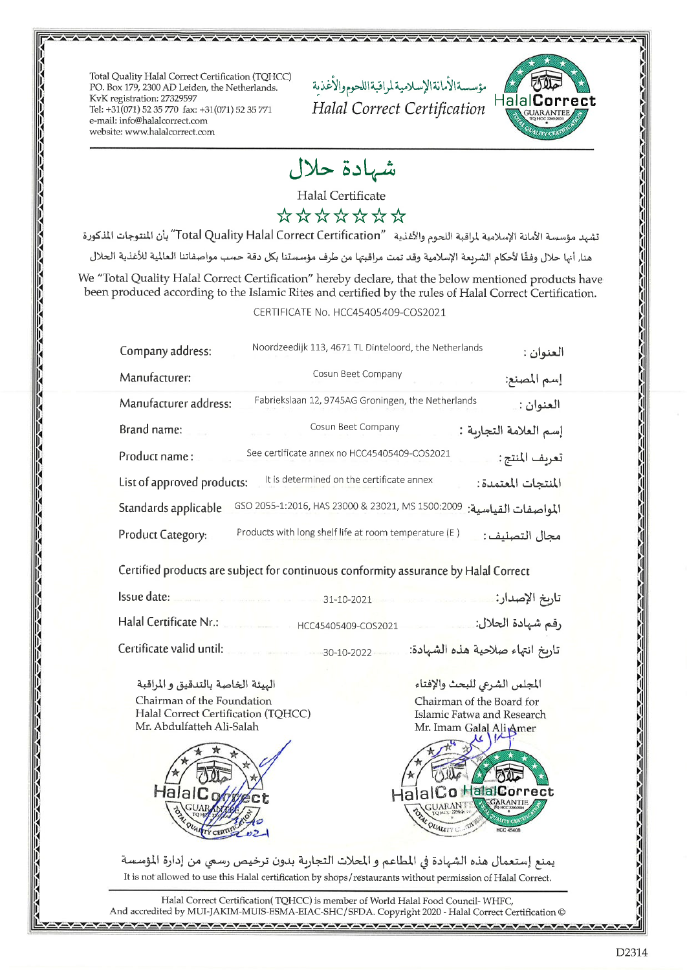Total Quality Halal Correct Certification (TQHCC) PO. Box 179, 2300 AD Leiden, the Netherlands. KvK registration: 27329597 Tel: +31(071) 52 35 770 fax: +31(071) 52 35 771 e-mail: info@halalcorrect.com website: www.halalcorrect.com

مؤسسةالأمانةالإسلامية لراقبةاللحوم والأغذية Halal Correct Certification



شهادة حلال

Halal Certificate

\*\*\*\*\*\*\*

تشهد مؤسسة الأمانة الإسلامية لمراقبة اللحوم والأغذية "Total Quality Halal Correct Certification" بأن المنتوجات المذكورة

هنا, أنها حلال وفقًا لأحكام الشريعة الإسلامية وقد تمت مراقبتها من طرف مؤسستنا بكل دقة حسب مواصفاتنا العالمية للأغذية الحلال

We "Total Quality Halal Correct Certification" hereby declare, that the below mentioned products have been produced according to the Islamic Rites and certified by the rules of Halal Correct Certification.

## CERTIFICATE No. HCC45405409-COS2021

| Company address:           | Noordzeedijk 113, 4671 TL Dinteloord, the Netherlands | العنوان :              |
|----------------------------|-------------------------------------------------------|------------------------|
| Manufacturer:              | Cosun Beet Company                                    | إسم المصنع:            |
| Manufacturer address:      | Fabriekslaan 12, 9745AG Groningen, the Netherlands    | العنوان :              |
| Brand name:                | Cosun Beet Company                                    | إسم العلامة التجاربة : |
| Product name:              | See certificate annex no HCC45405409-COS2021          | تعريف المنتج:          |
| List of approved products: | It is determined on the certificate annex             | المنتجات المعتمدة:     |
| Standards applicable       | GSO 2055-1:2016, HAS 23000 & 23021, MS 1500:2009      | المواصفات القياسية:    |
| Product Category:          | Products with long shelf life at room temperature (E) | مجال التصنيف :         |

Certified products are subject for continuous conformity assurance by Halal Correct

| Issue date:              | $31 - 10 - 2021$    | تار <i>ىخ</i> الإصدار:           |
|--------------------------|---------------------|----------------------------------|
| Halal Certificate Nr.:   | HCC45405409-COS2021 | رقم شهادة الحلال:                |
| Certificate valid until: | 30-10-2022          | تاريخ انتهاء صلاحية هذه الشهادة: |

الهيئة الخاصة بالتدقيق والمراقبة Chairman of the Foundation Halal Correct Certification (TQHCC) Mr. Abdulfatteh Ali-Salah



المجلس الشرعى للبحث والإفتاء Chairman of the Board for Islamic Fatwa and Research Mr. Imam Galal Ali Amer



يمنع إستعمال هذه الشهادة في المطاعم و المحلات التجارية بدون ترخيص رسمي من إدارة المؤسسة It is not allowed to use this Halal certification by shops/restaurants without permission of Halal Correct.

Halal Correct Certification(TQHCC) is member of World Halal Food Council-WHFC, And accredited by MUI-JAKIM-MUIS-ESMA-EIAC-SHC/SFDA. Copyright 2020 - Halal Correct Certification ©